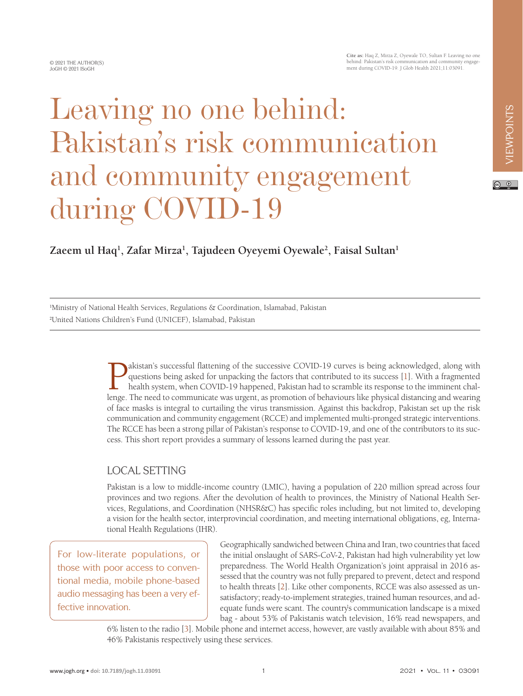# Leaving no one behind: Pakistan's risk communication and community engagement during COVID-19

## **Zaeem ul Haq1 , Zafar Mirza1 , Tajudeen Oyeyemi Oyewale2 , Faisal Sultan1**

1 Ministry of National Health Services, Regulations & Coordination, Islamabad, Pakistan 2 United Nations Children's Fund (UNICEF), Islamabad, Pakistan

> Altistan's successful flattening of the successive COVID-19 curves is being acknowledged, along with<br>questions being asked for unpacking the factors that contributed to its success [1]. With a fragmented<br>health system, whe questions being asked for unpacking the factors that contributed to its success [1]. With a fragmented health system, when COVID-19 happened, Pakistan had to scramble its response to the imminent challenge. The need to communicate was urgent, as promotion of behaviours like physical distancing and wearing of face masks is integral to curtailing the virus transmission. Against this backdrop, Pakistan set up the risk communication and community engagement (RCCE) and implemented multi-pronged strategic interventions. The RCCE has been a strong pillar of Pakistan's response to COVID-19, and one of the contributors to its success. This short report provides a summary of lessons learned during the past year.

## LOCAL SETTING

Pakistan is a low to middle-income country (LMIC), having a population of 220 million spread across four provinces and two regions. After the devolution of health to provinces, the Ministry of National Health Services, Regulations, and Coordination (NHSR&C) has specific roles including, but not limited to, developing a vision for the health sector, interprovincial coordination, and meeting international obligations, eg, International Health Regulations (IHR).

For low-literate populations, or those with poor access to conventional media, mobile phone-based audio messaging has been a very effective innovation.

Geographically sandwiched between China and Iran, two countries that faced the initial onslaught of SARS-CoV-2, Pakistan had high vulnerability yet low preparedness. The World Health Organization's joint appraisal in 2016 assessed that the country was not fully prepared to prevent, detect and respond to health threats [\[2](#page-4-1)]. Like other components, RCCE was also assessed as unsatisfactory; ready-to-implement strategies, trained human resources, and adequate funds were scant. The country's communication landscape is a mixed bag - about 53% of Pakistanis watch television, 16% read newspapers, and

6% listen to the radio [[3\]](#page-4-2). Mobile phone and internet access, however, are vastly available with about 85% and 46% Pakistanis respectively using these services.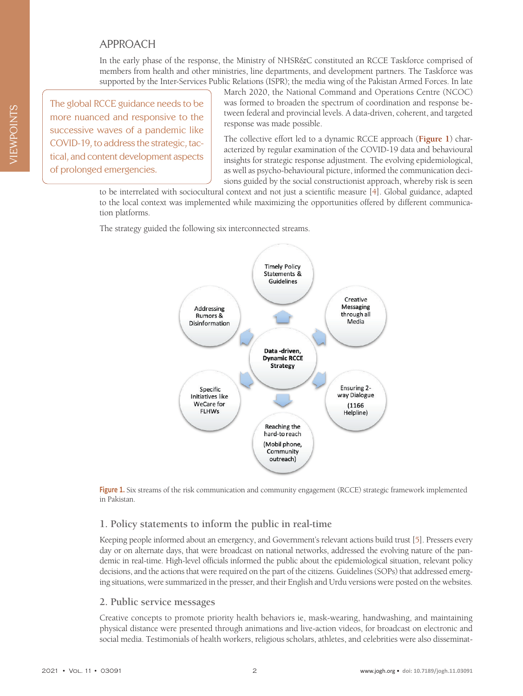## APPROACH

In the early phase of the response, the Ministry of NHSR&C constituted an RCCE Taskforce comprised of members from health and other ministries, line departments, and development partners. The Taskforce was supported by the Inter-Services Public Relations (ISPR); the media wing of the Pakistan Armed Forces. In late

The global RCCE guidance needs to be more nuanced and responsive to the successive waves of a pandemic like COVID-19, to address the strategic, tactical, and content development aspects of prolonged emergencies.

March 2020, the National Command and Operations Centre (NCOC) was formed to broaden the spectrum of coordination and response between federal and provincial levels. A data-driven, coherent, and targeted response was made possible.

The collective effort led to a dynamic RCCE approach (**[Figure 1](#page-1-0)**) characterized by regular examination of the COVID-19 data and behavioural insights for strategic response adjustment. The evolving epidemiological, as well as psycho-behavioural picture, informed the communication decisions guided by the social constructionist approach, whereby risk is seen

to be interrelated with sociocultural context and not just a scientific measure [[4\]](#page-4-3). Global guidance, adapted to the local context was implemented while maximizing the opportunities offered by different communication platforms.

<span id="page-1-0"></span>The strategy guided the following six interconnected streams.



**Figure 1.** Six streams of the risk communication and community engagement (RCCE) strategic framework implemented in Pakistan.

### **1. Policy statements to inform the public in real-time**

Keeping people informed about an emergency, and Government's relevant actions build trust [\[5\]](#page-4-4). Pressers every day or on alternate days, that were broadcast on national networks, addressed the evolving nature of the pandemic in real-time. High-level officials informed the public about the epidemiological situation, relevant policy decisions, and the actions that were required on the part of the citizens. Guidelines (SOPs) that addressed emerging situations, were summarized in the presser, and their English and Urdu versions were posted on the websites.

#### **2. Public service messages**

Creative concepts to promote priority health behaviors ie, mask-wearing, handwashing, and maintaining physical distance were presented through animations and live-action videos, for broadcast on electronic and social media. Testimonials of health workers, religious scholars, athletes, and celebrities were also disseminat-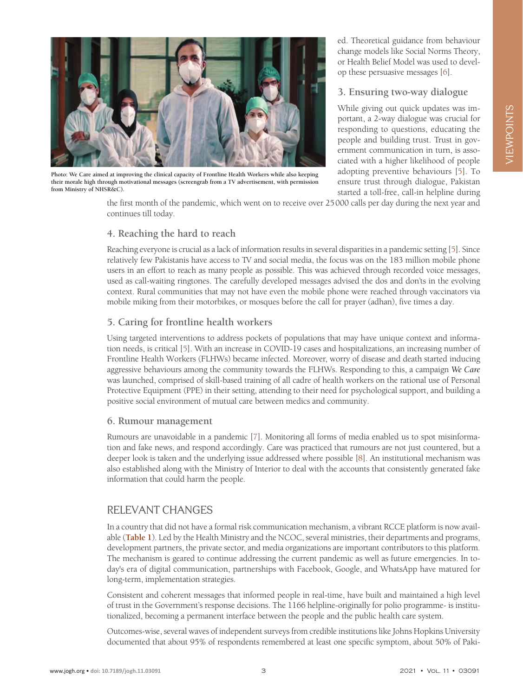

**Photo: We Care aimed at improving the clinical capacity of Frontline Health Workers while also keeping their morale high through motivational messages (screengrab from a TV advertisement, with permission from Ministry of NHSR&C).**

ed. Theoretical guidance from behaviour change models like Social Norms Theory, or Health Belief Model was used to develop these persuasive messages [\[6](#page-4-5)].

#### **3. Ensuring two-way dialogue**

While giving out quick updates was important, a 2-way dialogue was crucial for responding to questions, educating the people and building trust. Trust in government communication in turn, is associated with a higher likelihood of people adopting preventive behaviours [\[5\]](#page-4-4). To ensure trust through dialogue, Pakistan started a toll-free, call-in helpline during

the first month of the pandemic, which went on to receive over 25000 calls per day during the next year and continues till today.

#### **4. Reaching the hard to reach**

Reaching everyone is crucial as a lack of information results in several disparities in a pandemic setting [[5\]](#page-4-4). Since relatively few Pakistanis have access to TV and social media, the focus was on the 183 million mobile phone users in an effort to reach as many people as possible. This was achieved through recorded voice messages, used as call-waiting ringtones. The carefully developed messages advised the dos and don'ts in the evolving context. Rural communities that may not have even the mobile phone were reached through vaccinators via mobile miking from their motorbikes, or mosques before the call for prayer (adhan), five times a day.

#### **5. Caring for frontline health workers**

Using targeted interventions to address pockets of populations that may have unique context and information needs, is critical [\[5](#page-4-4)]. With an increase in COVID-19 cases and hospitalizations, an increasing number of Frontline Health Workers (FLHWs) became infected. Moreover, worry of disease and death started inducing aggressive behaviours among the community towards the FLHWs. Responding to this, a campaign *We Care* was launched, comprised of skill-based training of all cadre of health workers on the rational use of Personal Protective Equipment (PPE) in their setting, attending to their need for psychological support, and building a positive social environment of mutual care between medics and community.

#### **6. Rumour management**

Rumours are unavoidable in a pandemic [\[7](#page-4-6)]. Monitoring all forms of media enabled us to spot misinformation and fake news, and respond accordingly. Care was practiced that rumours are not just countered, but a deeper look is taken and the underlying issue addressed where possible [\[8](#page-4-7)]. An institutional mechanism was also established along with the Ministry of Interior to deal with the accounts that consistently generated fake information that could harm the people.

## RELEVANT CHANGES

In a country that did not have a formal risk communication mechanism, a vibrant RCCE platform is now available (**[Table 1](#page-3-0)**). Led by the Health Ministry and the NCOC, several ministries, their departments and programs, development partners, the private sector, and media organizations are important contributors to this platform. The mechanism is geared to continue addressing the current pandemic as well as future emergencies. In today's era of digital communication, partnerships with Facebook, Google, and WhatsApp have matured for long-term, implementation strategies.

Consistent and coherent messages that informed people in real-time, have built and maintained a high level of trust in the Government's response decisions. The 1166 helpline-originally for polio programme- is institutionalized, becoming a permanent interface between the people and the public health care system.

Outcomes-wise, several waves of independent surveys from credible institutions like Johns Hopkins University documented that about 95% of respondents remembered at least one specific symptom, about 50% of Paki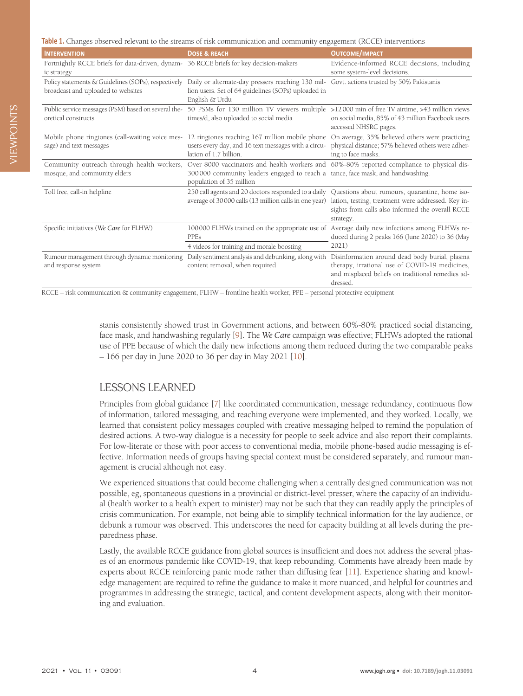<span id="page-3-0"></span>**Table 1.** Changes observed relevant to the streams of risk communication and community engagement (RCCE) interventions

| <b>INTERVENTION</b>                                                                                   | <b>DOSE &amp; REACH</b>                                                                                                                                                                                 | <b>OUTCOME/IMPACT</b>                                                                                                                                                                                                     |
|-------------------------------------------------------------------------------------------------------|---------------------------------------------------------------------------------------------------------------------------------------------------------------------------------------------------------|---------------------------------------------------------------------------------------------------------------------------------------------------------------------------------------------------------------------------|
| Fortnightly RCCE briefs for data-driven, dynam- 36 RCCE briefs for key decision-makers<br>ic strategy |                                                                                                                                                                                                         | Evidence-informed RCCE decisions, including<br>some system-level decisions.                                                                                                                                               |
| Policy statements & Guidelines (SOPs), respectively<br>broadcast and uploaded to websites             | Daily or alternate-day pressers reaching 130 mil- Govt. actions trusted by 50% Pakistanis<br>lion users. Set of 64 guidelines (SOPs) uploaded in<br>English & Urdu                                      |                                                                                                                                                                                                                           |
| oretical constructs                                                                                   | Public service messages (PSM) based on several the-50 PSMs for 130 million TV viewers multiple >12000 min of free TV airtime, >43 million views<br>times/d, also uploaded to social media               | on social media, 85% of 43 million Facebook users<br>accessed NHSRC pages.                                                                                                                                                |
| Mobile phone ringtones (call-waiting voice mes-<br>sage) and text messages                            | 12 ringtones reaching 167 million mobile phone<br>users every day, and 16 text messages with a circu-<br>lation of 1.7 billion.                                                                         | On average, 35% believed others were practicing<br>physical distance; 57% believed others were adher-<br>ing to face masks.                                                                                               |
| Community outreach through health workers,<br>mosque, and community elders                            | Over 8000 vaccinators and health workers and 60%-80% reported compliance to physical dis-<br>300000 community leaders engaged to reach a tance, face mask, and handwashing.<br>population of 35 million |                                                                                                                                                                                                                           |
| Toll free, call-in helpline                                                                           | average of 30000 calls (13 million calls in one year)                                                                                                                                                   | 250 call agents and 20 doctors responded to a daily Questions about rumours, quarantine, home iso-<br>lation, testing, treatment were addressed. Key in-<br>sights from calls also informed the overall RCCE<br>strategy. |
| Specific initiatives (We Care for FLHW)                                                               | <b>PPEs</b><br>4 videos for training and morale boosting                                                                                                                                                | 100000 FLHWs trained on the appropriate use of Average daily new infections among FLHWs re-<br>duced during 2 peaks 166 (June 2020) to 36 (May<br>2021)                                                                   |
| Rumour management through dynamic monitoring<br>and response system                                   | Daily sentiment analysis and debunking, along with<br>content removal, when required                                                                                                                    | Disinformation around dead body burial, plasma<br>therapy, irrational use of COVID-19 medicines,<br>and misplaced beliefs on traditional remedies ad-<br>dressed.                                                         |

RCCE – risk communication & community engagement, FLHW – frontline health worker, PPE – personal protective equipment

stanis consistently showed trust in Government actions, and between 60%-80% practiced social distancing, face mask, and handwashing regularly [\[9](#page-4-8)]. The *We Care* campaign was effective; FLHWs adopted the rational use of PPE because of which the daily new infections among them reduced during the two comparable peaks – 166 per day in June 2020 to 36 per day in May 2021 [\[10](#page-4-9)].

### LESSONS LEARNED

Principles from global guidance [[7\]](#page-4-6) like coordinated communication, message redundancy, continuous flow of information, tailored messaging, and reaching everyone were implemented, and they worked. Locally, we learned that consistent policy messages coupled with creative messaging helped to remind the population of desired actions. A two-way dialogue is a necessity for people to seek advice and also report their complaints. For low-literate or those with poor access to conventional media, mobile phone-based audio messaging is effective. Information needs of groups having special context must be considered separately, and rumour management is crucial although not easy.

We experienced situations that could become challenging when a centrally designed communication was not possible, eg, spontaneous questions in a provincial or district-level presser, where the capacity of an individual (health worker to a health expert to minister) may not be such that they can readily apply the principles of crisis communication. For example, not being able to simplify technical information for the lay audience, or debunk a rumour was observed. This underscores the need for capacity building at all levels during the preparedness phase.

Lastly, the available RCCE guidance from global sources is insufficient and does not address the several phases of an enormous pandemic like COVID-19, that keep rebounding. Comments have already been made by experts about RCCE reinforcing panic mode rather than diffusing fear [\[11](#page-4-10)]. Experience sharing and knowledge management are required to refine the guidance to make it more nuanced, and helpful for countries and programmes in addressing the strategic, tactical, and content development aspects, along with their monitoring and evaluation.